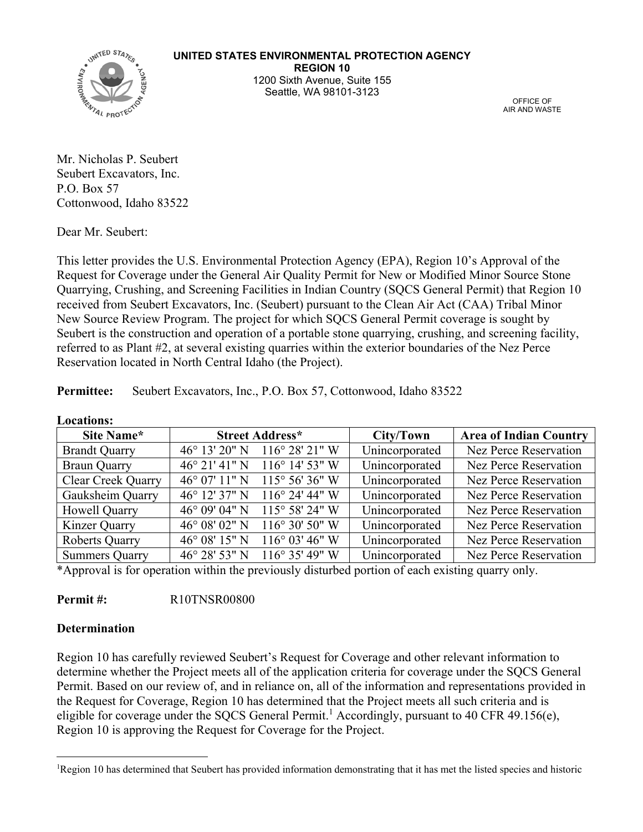

**UNITED STATES ENVIRONMENTAL PROTECTION AGENCY REGION 10**  1200 Sixth Avenue, Suite 155 Seattle, WA 98101-3123

OFFICE OF AIR AND WASTE

Mr. Nicholas P. Seubert Seubert Excavators, Inc. P.O. Box 57 Cottonwood, Idaho 83522

Dear Mr. Seubert:

**Locations:**

This letter provides the U.S. Environmental Protection Agency (EPA), Region 10's Approval of the Request for Coverage under the General Air Quality Permit for New or Modified Minor Source Stone Quarrying, Crushing, and Screening Facilities in Indian Country (SQCS General Permit) that Region 10 received from Seubert Excavators, Inc. (Seubert) pursuant to the Clean Air Act (CAA) Tribal Minor New Source Review Program. The project for which SQCS General Permit coverage is sought by Seubert is the construction and operation of a portable stone quarrying, crushing, and screening facility, referred to as Plant #2, at several existing quarries within the exterior boundaries of the Nez Perce Reservation located in North Central Idaho (the Project).

| <b>LOCATIONS:</b>         |                         |                          |                |                               |  |  |  |  |
|---------------------------|-------------------------|--------------------------|----------------|-------------------------------|--|--|--|--|
| Site Name*                | <b>Street Address*</b>  |                          | City/Town      | <b>Area of Indian Country</b> |  |  |  |  |
| <b>Brandt Quarry</b>      | $46^{\circ}$ 13' 20" N  | $116^{\circ} 28' 21''$ W | Unincorporated | Nez Perce Reservation         |  |  |  |  |
| <b>Braun Quarry</b>       | $46^{\circ}$ 21' 41" N  | $116^{\circ}$ 14' 53" W  | Unincorporated | Nez Perce Reservation         |  |  |  |  |
| <b>Clear Creek Quarry</b> | $46^{\circ}$ 07' 11" N  | $115^{\circ} 56' 36'' W$ | Unincorporated | Nez Perce Reservation         |  |  |  |  |
| Gauksheim Quarry          | $46^{\circ}$ 12' 37" N  | $116^{\circ}$ 24' 44" W  | Unincorporated | Nez Perce Reservation         |  |  |  |  |
| Howell Quarry             | $46^{\circ}$ 09' 04" N  | $115^{\circ}$ 58' 24" W  | Unincorporated | Nez Perce Reservation         |  |  |  |  |
| Kinzer Quarry             | $46^{\circ}$ 08' 02" N  | $116^{\circ} 30' 50''$ W | Unincorporated | Nez Perce Reservation         |  |  |  |  |
| <b>Roberts Quarry</b>     | $46^{\circ}$ 08' 15" N  | $116^{\circ}$ 03' 46" W  | Unincorporated | Nez Perce Reservation         |  |  |  |  |
| <b>Summers Quarry</b>     | $46^{\circ} 28' 53'' N$ | $116^{\circ}$ 35' 49" W  | Unincorporated | Nez Perce Reservation         |  |  |  |  |

**Permittee:** Seubert Excavators, Inc., P.O. Box 57, Cottonwood, Idaho 83522

\*Approval is for operation within the previously disturbed portion of each existing quarry only.

**Permit #:** R10TNSR00800

## **Determination**

Region 10 has carefully reviewed Seubert's Request for Coverage and other relevant information to determine whether the Project meets all of the application criteria for coverage under the SQCS General Permit. Based on our review of, and in reliance on, all of the information and representations provided in the Request for Coverage, Region 10 has determined that the Project meets all such criteria and is eligible for coverage under the SQCS General Permit.<sup>1</sup> Accordingly, pursuant to 40 CFR 49.156(e), Region 10 is approving the Request for Coverage for the Project.

<sup>&</sup>lt;u>.</u> <sup>1</sup>Region 10 has determined that Seubert has provided information demonstrating that it has met the listed species and historic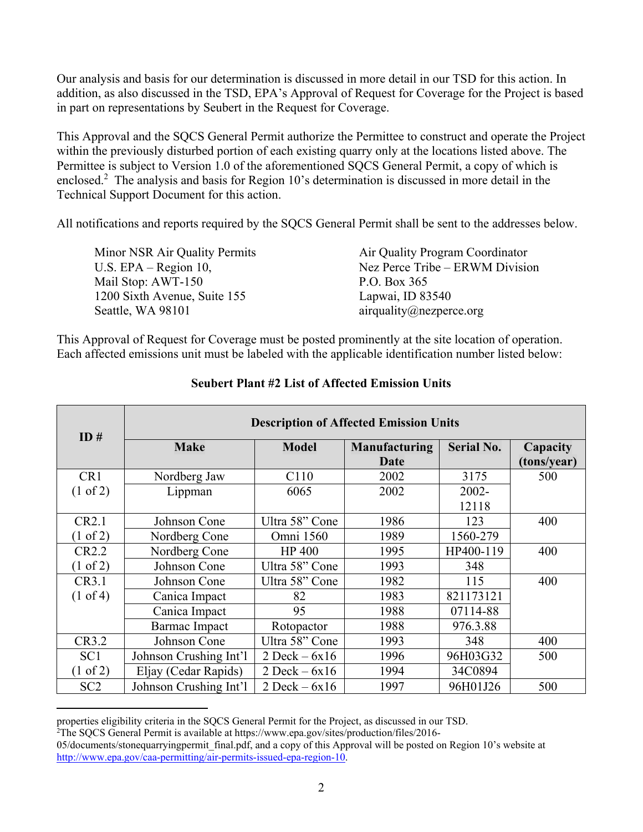Our analysis and basis for our determination is discussed in more detail in our TSD for this action. In addition, as also discussed in the TSD, EPA's Approval of Request for Coverage for the Project is based in part on representations by Seubert in the Request for Coverage.

This Approval and the SQCS General Permit authorize the Permittee to construct and operate the Project within the previously disturbed portion of each existing quarry only at the locations listed above. The Permittee is subject to Version 1.0 of the aforementioned SQCS General Permit, a copy of which is enclosed.<sup>2</sup> The analysis and basis for Region 10's determination is discussed in more detail in the Technical Support Document for this action.

All notifications and reports required by the SQCS General Permit shall be sent to the addresses below.

Minor NSR Air Quality Permits Air Quality Program Coordinator U.S. EPA – Region 10, Nez Perce Tribe – ERWM Division Mail Stop: AWT-150 P.O. Box 365 1200 Sixth Avenue, Suite 155 Lapwai, ID 83540 Seattle, WA 98101 airquality@nezperce.org

This Approval of Request for Coverage must be posted prominently at the site location of operation. Each affected emissions unit must be labeled with the applicable identification number listed below:

| ID#                 | <b>Description of Affected Emission Units</b> |                   |                      |                   |             |  |  |
|---------------------|-----------------------------------------------|-------------------|----------------------|-------------------|-------------|--|--|
|                     | <b>Make</b>                                   | <b>Model</b>      | <b>Manufacturing</b> | <b>Serial No.</b> | Capacity    |  |  |
|                     |                                               |                   | Date                 |                   | (tons/year) |  |  |
| CR <sub>1</sub>     | Nordberg Jaw                                  | C <sub>110</sub>  | 2002                 | 3175              | 500         |  |  |
| $(1 \text{ of } 2)$ | Lippman                                       | 6065              | 2002                 | 2002-             |             |  |  |
|                     |                                               |                   |                      | 12118             |             |  |  |
| CR2.1               | Johnson Cone                                  | Ultra 58" Cone    | 1986                 | 123               | 400         |  |  |
| $(1 \text{ of } 2)$ | Nordberg Cone                                 | Omni 1560         | 1989                 | 1560-279          |             |  |  |
| CR2.2               | Nordberg Cone                                 | HP 400            | 1995                 | HP400-119         | 400         |  |  |
| $(1 \text{ of } 2)$ | Johnson Cone                                  | Ultra 58" Cone    | 1993                 | 348               |             |  |  |
| CR3.1               | Johnson Cone                                  | Ultra 58" Cone    | 1982                 | 115               | 400         |  |  |
| $(1 \text{ of } 4)$ | Canica Impact                                 | 82                | 1983                 | 821173121         |             |  |  |
|                     | Canica Impact                                 | 95                | 1988                 | 07114-88          |             |  |  |
|                     | Barmac Impact                                 | Rotopactor        | 1988                 | 976.3.88          |             |  |  |
| CR3.2               | Johnson Cone                                  | Ultra 58" Cone    | 1993                 | 348               | 400         |  |  |
| SC <sub>1</sub>     | Johnson Crushing Int'l                        | $2$ Deck – $6x16$ | 1996                 | 96H03G32          | 500         |  |  |
| $(1 \text{ of } 2)$ | Eljay (Cedar Rapids)                          | $2$ Deck – $6x16$ | 1994                 | 34C0894           |             |  |  |
| SC <sub>2</sub>     | Johnson Crushing Int'l                        | $2$ Deck $-6x16$  | 1997                 | 96H01J26          | 500         |  |  |

## **Seubert Plant #2 List of Affected Emission Units**

<sup>2</sup>The SQCS General Permit is available at https://www.epa.gov/sites/production/files/2016-

 $\overline{a}$ 

properties eligibility criteria in the SQCS General Permit for the Project, as discussed in our TSD. 2

<sup>05/</sup>documents/stonequarryingpermit\_final.pdf, and a copy of this Approval will be posted on Region 10's website at http://www.epa.gov/caa-permitting/air-permits-issued-epa-region-10.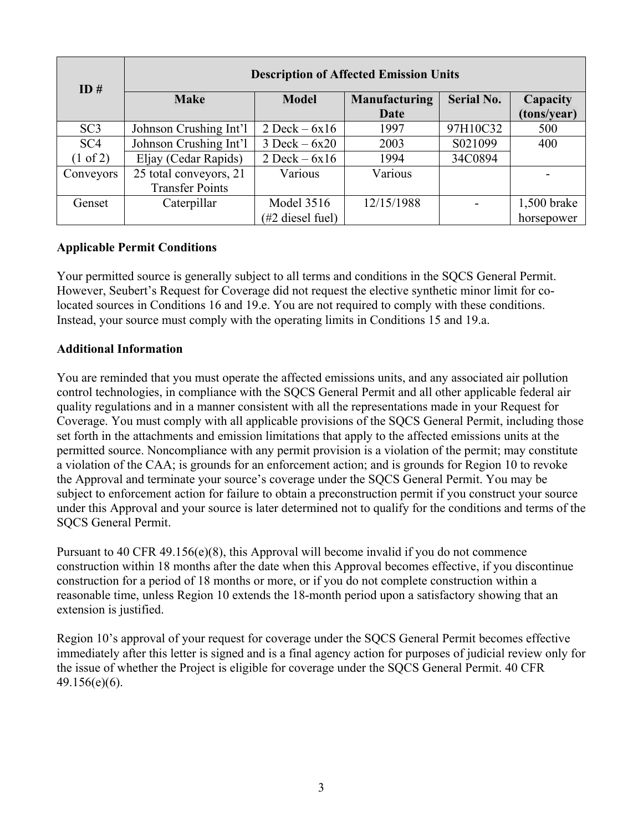| ID#                 | <b>Description of Affected Emission Units</b> |                             |                      |                   |             |  |  |
|---------------------|-----------------------------------------------|-----------------------------|----------------------|-------------------|-------------|--|--|
|                     | <b>Make</b>                                   | <b>Model</b>                | <b>Manufacturing</b> | <b>Serial No.</b> | Capacity    |  |  |
|                     |                                               |                             | Date                 |                   | (tons/year) |  |  |
| SC <sub>3</sub>     | Johnson Crushing Int'l                        | $2$ Deck – $6x16$           | 1997                 | 97H10C32          | 500         |  |  |
| SC <sub>4</sub>     | Johnson Crushing Int'l                        | $3$ Deck $-6x20$            | 2003                 | S021099           | 400         |  |  |
| $(1 \text{ of } 2)$ | Eljay (Cedar Rapids)                          | $2$ Deck – $6x16$           | 1994                 | 34C0894           |             |  |  |
| Conveyors           | 25 total conveyors, 21                        | Various                     | Various              |                   |             |  |  |
|                     | <b>Transfer Points</b>                        |                             |                      |                   |             |  |  |
| Genset              | Caterpillar                                   | Model 3516                  | 12/15/1988           |                   | 1,500 brake |  |  |
|                     |                                               | $(\#2 \text{ diesel fuel})$ |                      |                   | horsepower  |  |  |

## **Applicable Permit Conditions**

Your permitted source is generally subject to all terms and conditions in the SQCS General Permit. However, Seubert's Request for Coverage did not request the elective synthetic minor limit for colocated sources in Conditions 16 and 19.e. You are not required to comply with these conditions. Instead, your source must comply with the operating limits in Conditions 15 and 19.a.

## **Additional Information**

You are reminded that you must operate the affected emissions units, and any associated air pollution control technologies, in compliance with the SQCS General Permit and all other applicable federal air quality regulations and in a manner consistent with all the representations made in your Request for Coverage. You must comply with all applicable provisions of the SQCS General Permit, including those set forth in the attachments and emission limitations that apply to the affected emissions units at the permitted source. Noncompliance with any permit provision is a violation of the permit; may constitute a violation of the CAA; is grounds for an enforcement action; and is grounds for Region 10 to revoke the Approval and terminate your source's coverage under the SQCS General Permit. You may be subject to enforcement action for failure to obtain a preconstruction permit if you construct your source under this Approval and your source is later determined not to qualify for the conditions and terms of the SQCS General Permit.

Pursuant to 40 CFR 49.156(e)(8), this Approval will become invalid if you do not commence construction within 18 months after the date when this Approval becomes effective, if you discontinue construction for a period of 18 months or more, or if you do not complete construction within a reasonable time, unless Region 10 extends the 18-month period upon a satisfactory showing that an extension is justified.

Region 10's approval of your request for coverage under the SQCS General Permit becomes effective immediately after this letter is signed and is a final agency action for purposes of judicial review only for the issue of whether the Project is eligible for coverage under the SQCS General Permit. 40 CFR 49.156(e)(6).